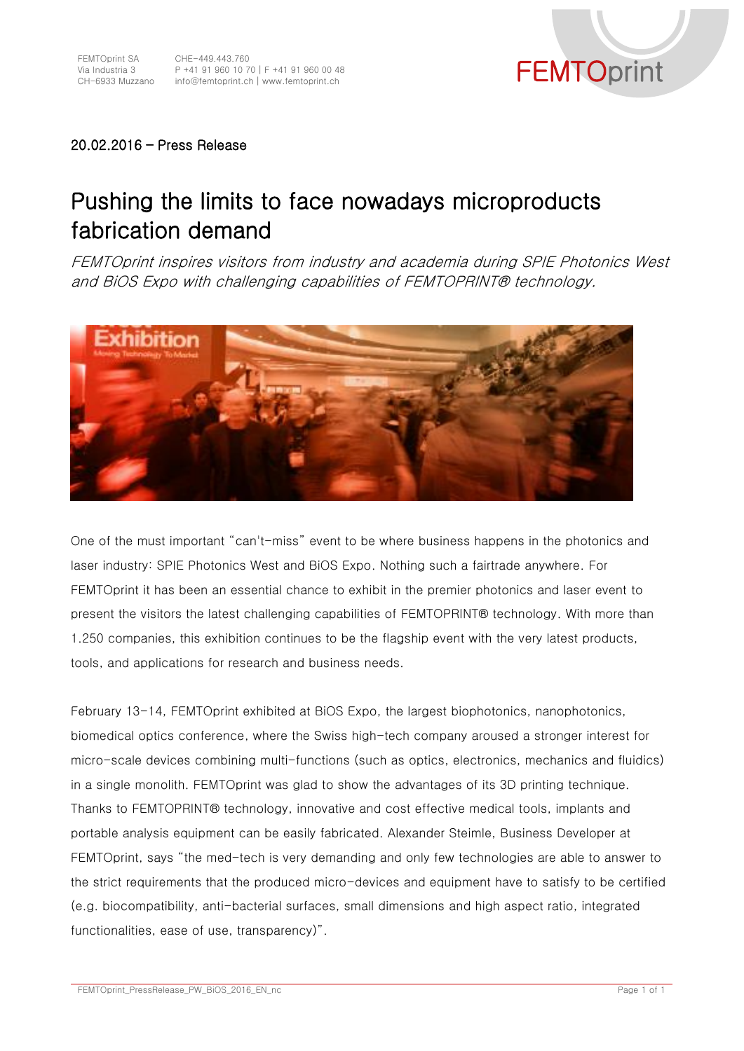

## 20.02.2016 – Press Release

## Pushing the limits to face nowadays microproducts fabrication demand

FEMTOprint inspires visitors from industry and academia during SPIE Photonics West and BiOS Expo with challenging capabilities of FEMTOPRINT® technology.



One of the must important "can't-miss" event to be where business happens in the photonics and laser industry: SPIE Photonics West and BiOS Expo. Nothing such a fairtrade anywhere. For FEMTOprint it has been an essential chance to exhibit in the premier photonics and laser event to present the visitors the latest challenging capabilities of FEMTOPRINT® technology. With more than 1.250 companies, this exhibition continues to be the flagship event with the very latest products, tools, and applications for research and business needs.

February 13-14, FEMTOprint exhibited at BiOS Expo, the largest biophotonics, nanophotonics, biomedical optics conference, where the Swiss high-tech company aroused a stronger interest for micro-scale devices combining multi-functions (such as optics, electronics, mechanics and fluidics) in a single monolith. FEMTOprint was glad to show the advantages of its 3D printing technique. Thanks to FEMTOPRINT® technology, innovative and cost effective medical tools, implants and portable analysis equipment can be easily fabricated. Alexander Steimle, Business Developer at FEMTOprint, says "the med-tech is very demanding and only few technologies are able to answer to the strict requirements that the produced micro-devices and equipment have to satisfy to be certified (e.g. biocompatibility, anti-bacterial surfaces, small dimensions and high aspect ratio, integrated functionalities, ease of use, transparency)".